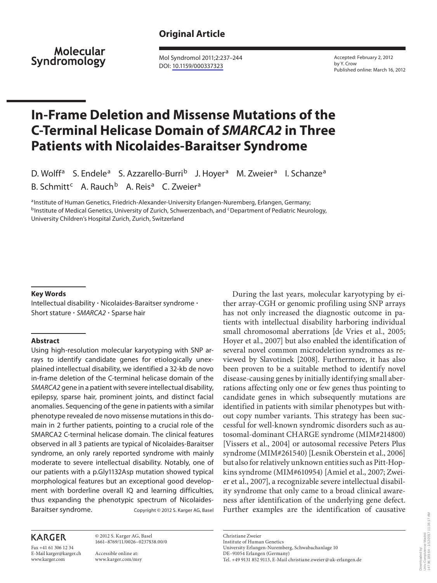Molecular Syndromology

 Mol Syndromol 2011;2:237–244 DOI: [10.1159/000337323](http://dx.doi.org/10.1159%2F000337323)

 Accepted: February 2, 2012 by Y. Crow Published online: March 16, 2012

# **In-Frame Deletion and Missense Mutations of the C-Terminal Helicase Domain of** *SMARCA2* **in Three Patients with Nicolaides-Baraitser Syndrome**

D. Wolff<sup>a</sup> S. Endele<sup>a</sup> S. Azzarello-Burri<sup>b</sup> J. Hoyer<sup>a</sup> M. Zweier<sup>a</sup> I. Schanze<sup>a</sup> B. Schmitt<sup>c</sup> A. Rauch<sup>b</sup> A. Reis<sup>a</sup> C. Zweier<sup>a</sup>

a Institute of Human Genetics, Friedrich-Alexander-University Erlangen-Nuremberg, Erlangen, Germany; <sup>b</sup>Institute of Medical Genetics, University of Zurich, Schwerzenbach, and <sup>c</sup>Department of Pediatric Neurology, University Children's Hospital Zurich, Zurich, Switzerland

#### **Key Words**

Intellectual disability  $\cdot$  Nicolaides-Baraitser syndrome  $\cdot$ Short stature · SMARCA2 · Sparse hair

#### **Abstract**

 Using high-resolution molecular karyotyping with SNP arrays to identify candidate genes for etiologically unexplained intellectual disability, we identified a 32-kb de novo in-frame deletion of the C-terminal helicase domain of the SMARCA2 gene in a patient with severe intellectual disability, epilepsy, sparse hair, prominent joints, and distinct facial anomalies. Sequencing of the gene in patients with a similar phenotype revealed de novo missense mutations in this domain in 2 further patients, pointing to a crucial role of the SMARCA2 C-terminal helicase domain. The clinical features observed in all 3 patients are typical of Nicolaides-Baraitser syndrome, an only rarely reported syndrome with mainly moderate to severe intellectual disability. Notably, one of our patients with a p.Gly1132Asp mutation showed typical morphological features but an exceptional good development with borderline overall IQ and learning difficulties, thus expanding the phenotypic spectrum of Nicolaides-Baraitser syndrome. Copyright © 2012 S. Karger AG, Basel

## **KARGER**

Fax +41 61 306 12 34 E-Mail karger@karger.ch www.karger.com

 © 2012 S. Karger AG, Basel 1661–8769/11/0026–0237\$38.00/0

 Accessible online at: www.karger.com/msy

 During the last years, molecular karyotyping by either array-CGH or genomic profiling using SNP arrays has not only increased the diagnostic outcome in patients with intellectual disability harboring individual small chromosomal aberrations [de Vries et al., 2005; Hoyer et al., 2007] but also enabled the identification of several novel common microdeletion syndromes as reviewed by Slavotinek [2008]. Furthermore, it has also been proven to be a suitable method to identify novel disease-causing genes by initially identifying small aberrations affecting only one or few genes thus pointing to candidate genes in which subsequently mutations are identified in patients with similar phenotypes but without copy number variants. This strategy has been successful for well-known syndromic disorders such as autosomal-dominant CHARGE syndrome (MIM#214800) [Vissers et al., 2004] or autosomal recessive Peters Plus syndrome (MIM#261540) [Lesnik Oberstein et al., 2006] but also for relatively unknown entities such as Pitt-Hopkins syndrome (MIM#610954) [Amiel et al., 2007; Zweier et al., 2007], a recognizable severe intellectual disability syndrome that only came to a broad clinical awareness after identification of the underlying gene defect. Further examples are the identification of causative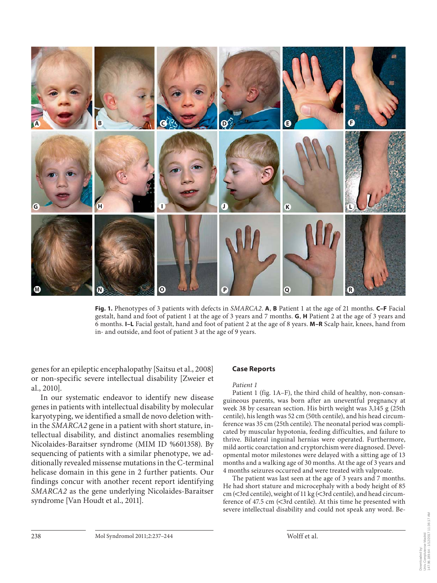

**Fig. 1.** Phenotypes of 3 patients with defects in *SMARCA2* . **A** , **B** Patient 1 at the age of 21 months. **C–F** Facial gestalt, hand and foot of patient 1 at the age of 3 years and 7 months. **G** , **H** Patient 2 at the age of 3 years and 6 months. **I–L** Facial gestalt, hand and foot of patient 2 at the age of 8 years. **M–R** Scalp hair, knees, hand from in- and outside, and foot of patient 3 at the age of 9 years.

genes for an epileptic encephalopathy [Saitsu et al., 2008] or non-specific severe intellectual disability [Zweier et al., 2010].

 In our systematic endeavor to identify new disease genes in patients with intellectual disability by molecular karyotyping, we identified a small de novo deletion within the *SMARCA2* gene in a patient with short stature, intellectual disability, and distinct anomalies resembling Nicolaides-Baraitser syndrome (MIM ID %601358). By sequencing of patients with a similar phenotype, we additionally revealed missense mutations in the C-terminal helicase domain in this gene in 2 further patients. Our findings concur with another recent report identifying *SMARCA2* as the gene underlying Nicolaides-Baraitser syndrome [Van Houdt et al., 2011].

#### **Case Reports**

#### *Patient 1*

Patient 1 (fig. 1A–F), the third child of healthy, non-consanguineous parents, was born after an uneventful pregnancy at week 38 by cesarean section. His birth weight was 3,145 g (25th centile), his length was 52 cm (50th centile), and his head circumference was 35 cm (25th centile). The neonatal period was complicated by muscular hypotonia, feeding difficulties, and failure to thrive. Bilateral inguinal hernias were operated. Furthermore, mild aortic coarctation and cryptorchism were diagnosed. Developmental motor milestones were delayed with a sitting age of 13 months and a walking age of 30 months. At the age of 3 years and 4 months seizures occurred and were treated with valproate.

 The patient was last seen at the age of 3 years and 7 months. He had short stature and microcephaly with a body height of 85 cm ( $\lt$ 3rd centile), weight of 11 kg ( $\lt$ 3rd centile), and head circumference of 47.5 cm ( $\leq$ 3rd centile). At this time he presented with severe intellectual disability and could not speak any word. Be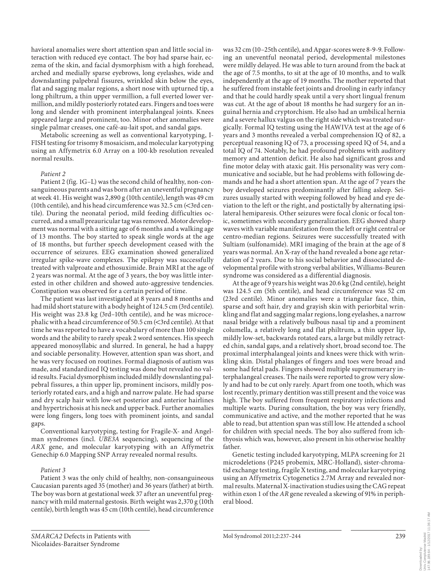havioral anomalies were short attention span and little social interaction with reduced eye contact. The boy had sparse hair, eczema of the skin, and facial dysmorphism with a high forehead, arched and medially sparse eyebrows, long eyelashes, wide and downslanting palpebral fissures, wrinkled skin below the eyes, flat and sagging malar regions, a short nose with upturned tip, a long philtrum, a thin upper vermillion, a full everted lower vermillion, and mildly posteriorly rotated ears. Fingers and toes were long and slender with prominent interphalangeal joints. Knees appeared large and prominent, too. Minor other anomalies were single palmar creases, one café-au-lait spot, and sandal gaps.

 Metabolic screening as well as conventional karyotyping, I-FISH testing for trisomy 8 mosaicism, and molecular karyotyping using an Affymetrix 6.0 Array on a 100-kb resolution revealed normal results.

#### *Patient 2*

Patient 2 (fig. 1G-L) was the second child of healthy, non-consanguineous parents and was born after an uneventful pregnancy at week 41. His weight was 2,890 g (10th centile), length was 49 cm (10th centile), and his head circumference was  $32.5 \text{ cm}$  (<3rd centile). During the neonatal period, mild feeding difficulties occurred, and a small preauricular tag was removed. Motor development was normal with a sitting age of 6 months and a walking age of 13 months. The boy started to speak single words at the age of 18 months, but further speech development ceased with the occurrence of seizures. EEG examination showed generalized irregular spike-wave complexes. The epilepsy was successfully treated with valproate and ethosuximide. Brain MRI at the age of 2 years was normal. At the age of 3 years, the boy was little interested in other children and showed auto-aggressive tendencies. Constipation was observed for a certain period of time.

 The patient was last investigated at 8 years and 8 months and had mild short stature with a body height of 124.5 cm (3rd centile). His weight was 23.8 kg (3rd–10th centile), and he was microcephalic with a head circumference of 50.5 cm (<3rd centile). At that time he was reported to have a vocabulary of more than 100 single words and the ability to rarely speak 2 word sentences. His speech appeared monosyllabic and slurred. In general, he had a happy and sociable personality. However, attention span was short, and he was very focused on routines. Formal diagnosis of autism was made, and standardized IQ testing was done but revealed no valid results. Facial dysmorphism included mildly downslanting palpebral fissures, a thin upper lip, prominent incisors, mildly posteriorly rotated ears, and a high and narrow palate. He had sparse and dry scalp hair with low-set posterior and anterior hairlines and hypertrichosis at his neck and upper back. Further anomalies were long fingers, long toes with prominent joints, and sandal gaps.

 Conventional karyotyping, testing for Fragile-X- and Angelman syndromes (incl. *UBE3A* sequencing), sequencing of the *ARX* gene, and molecular karyotyping with an Affymetrix Genechip 6.0 Mapping SNP Array revealed normal results.

#### *Patient 3*

 Patient 3 was the only child of healthy, non-consanguineous Caucasian parents aged 35 (mother) and 36 years (father) at birth. The boy was born at gestational week 37 after an uneventful pregnancy with mild maternal gestosis. Birth weight was 2,370 g (10th centile), birth length was 45 cm (10th centile), head circumference

was 32 cm (10–25th centile), and Apgar-scores were 8-9-9. Following an uneventful neonatal period, developmental milestones were mildly delayed. He was able to turn around from the back at the age of 7.5 months, to sit at the age of 10 months, and to walk independently at the age of 19 months. The mother reported that he suffered from instable feet joints and drooling in early infancy and that he could hardly speak until a very short lingual frenum was cut. At the age of about 18 months he had surgery for an inguinal hernia and cryptorchism. He also had an umbilical hernia and a severe hallux valgus on the right side which was treated surgically. Formal IQ testing using the HAWIVA test at the age of 6 years and 3 months revealed a verbal comprehension IQ of 82, a perceptual reasoning IQ of 73, a processing speed IQ of 54, and a total IQ of 74. Notably, he had profound problems with auditory memory and attention deficit. He also had significant gross and fine motor delay with ataxic gait. His personality was very communicative and sociable, but he had problems with following demands and he had a short attention span. At the age of 7 years the boy developed seizures predominantly after falling asleep. Seizures usually started with weeping followed by head and eye deviation to the left or the right, and postictally by alternating ipsilateral hemiparesis. Other seizures were focal clonic or focal tonic, sometimes with secondary generalization. EEG showed sharp waves with variable manifestation from the left or right central or centro-median regions. Seizures were successfully treated with Sultiam (sulfonamide). MRI imaging of the brain at the age of 8 years was normal. An X-ray of the hand revealed a bone age retardation of 2 years. Due to his social behavior and dissociated developmental profile with strong verbal abilities, Williams-Beuren syndrome was considered as a differential diagnosis.

 At the age of 9 years his weight was 20.6 kg (2nd centile), height was 124.5 cm (5th centile), and head circumference was 52 cm (23rd centile). Minor anomalies were a triangular face, thin, sparse and soft hair, dry and grayish skin with periorbital wrinkling and flat and sagging malar regions, long eyelashes, a narrow nasal bridge with a relatively bulbous nasal tip and a prominent columella, a relatively long and flat philtrum, a thin upper lip, mildly low-set, backwards rotated ears, a large but mildly retracted chin, sandal gaps, and a relatively short, broad second toe. The proximal interphalangeal joints and knees were thick with wrinkling skin. Distal phalanges of fingers and toes were broad and some had fetal pads. Fingers showed multiple supernumerary interphalangeal creases. The nails were reported to grow very slowly and had to be cut only rarely. Apart from one tooth, which was lost recently, primary dentition was still present and the voice was high. The boy suffered from frequent respiratory infections and multiple warts. During consultation, the boy was very friendly, communicative and active, and the mother reported that he was able to read, but attention span was still low. He attended a school for children with special needs. The boy also suffered from ichthyosis which was, however, also present in his otherwise healthy father.

 Genetic testing included karyotyping, MLPA screening for 21 microdeletions (P245 probemix, MRC-Holland), sister-chromatid exchange testing, fragile X testing, and molecular karyotyping using an Affymetrix Cytogenetics 2.7M Array and revealed normal results. Maternal X-inactivation studies using the CAG repeat within exon 1 of the *AR* gene revealed a skewing of 91% in peripheral blood.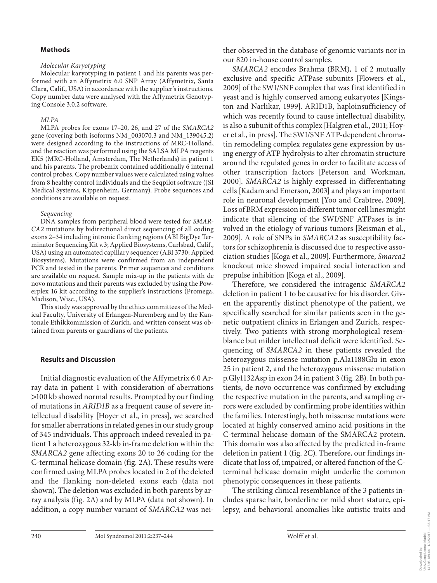## **Methods**

#### *Molecular Karyotyping*

 Molecular karyotyping in patient 1 and his parents was performed with an Affymetrix 6.0 SNP Array (Affymetrix, Santa Clara, Calif., USA) in accordance with the supplier's instructions. Copy number data were analysed with the Affymetrix Genotyping Console 3.0.2 software.

### *MLPA*

 MLPA probes for exons 17–20, 26, and 27 of the *SMARCA2* gene (covering both isoforms NM\_003070.3 and NM\_139045.2) were designed according to the instructions of MRC-Holland, and the reaction was performed using the SALSA MLPA reagents EK5 (MRC-Holland, Amsterdam, The Netherlands) in patient 1 and his parents. The probemix contained additionally 6 internal control probes. Copy number values were calculated using values from 8 healthy control individuals and the Seqpilot software (JSI Medical Systems, Kippenheim, Germany). Probe sequences and conditions are available on request.

## *Sequencing*

 DNA samples from peripheral blood were tested for *SMAR-CA2* mutations by bidirectional direct sequencing of all coding exons 2–34 including intronic flanking regions (ABI BigDye Terminator Sequencing Kit v.3; Applied Biosystems, Carlsbad, Calif., USA) using an automated capillary sequencer (ABI 3730; Applied Biosystems). Mutations were confirmed from an independent PCR and tested in the parents. Primer sequences and conditions are available on request. Sample mix-up in the patients with de novo mutations and their parents was excluded by using the Powerplex 16 kit according to the supplier's instructions (Promega, Madison, Wisc., USA).

 This study was approved by the ethics committees of the Medical Faculty, University of Erlangen-Nuremberg and by the Kantonale Ethikkommission of Zurich, and written consent was obtained from parents or guardians of the patients.

## **Results and Discussion**

 Initial diagnostic evaluation of the Affymetrix 6.0 Array data in patient 1 with consideration of aberrations 1 100 kb showed normal results. Prompted by our finding of mutations in *ARID1B* as a frequent cause of severe intellectual disability [Hoyer et al., in press], we searched for smaller aberrations in related genes in our study group of 345 individuals. This approach indeed revealed in patient 1 a heterozygous 32-kb in-frame deletion within the *SMARCA2* gene affecting exons 20 to 26 coding for the C-terminal helicase domain (fig. 2A). These results were confirmed using MLPA probes located in 2 of the deleted and the flanking non-deleted exons each (data not shown). The deletion was excluded in both parents by array analysis (fig. 2A) and by MLPA (data not shown). In addition, a copy number variant of *SMARCA2* was neither observed in the database of genomic variants nor in our 820 in-house control samples.

*SMARCA2* encodes Brahma (BRM), 1 of 2 mutually exclusive and specific ATPase subunits [Flowers et al., 2009] of the SWI/SNF complex that was first identified in yeast and is highly conserved among eukaryotes [Kingston and Narlikar, 1999]. ARID1B, haploinsufficiency of which was recently found to cause intellectual disability, is also a subunit of this complex [Halgren et al., 2011; Hoyer et al., in press]. The SWI/SNF ATP-dependent chromatin remodeling complex regulates gene expression by using energy of ATP hydrolysis to alter chromatin structure around the regulated genes in order to facilitate access of other transcription factors [Peterson and Workman, 2000]. *SMARCA2* is highly expressed in differentiating cells [Kadam and Emerson, 2003] and plays an important role in neuronal development [Yoo and Crabtree, 2009]. Loss of BRM expression in different tumor cell lines might indicate that silencing of the SWI/SNF ATPases is involved in the etiology of various tumors [Reisman et al., 2009]. A role of SNPs in *SMARCA2* as susceptibility factors for schizophrenia is discussed due to respective association studies [Koga et al., 2009]. Furthermore, *Smarca2* knockout mice showed impaired social interaction and prepulse inhibition [Koga et al., 2009].

 Therefore, we considered the intragenic *SMARCA2* deletion in patient 1 to be causative for his disorder. Given the apparently distinct phenotype of the patient, we specifically searched for similar patients seen in the genetic outpatient clinics in Erlangen and Zurich, respectively. Two patients with strong morphological resemblance but milder intellectual deficit were identified. Sequencing of *SMARCA2* in these patients revealed the heterozygous missense mutation p.Ala1188Glu in exon 25 in patient 2, and the heterozygous missense mutation p.Gly1132Asp in exon 24 in patient 3 (fig. 2B). In both patients, de novo occurrence was confirmed by excluding the respective mutation in the parents, and sampling errors were excluded by confirming probe identities within the families. Interestingly, both missense mutations were located at highly conserved amino acid positions in the C-terminal helicase domain of the SMARCA2 protein. This domain was also affected by the predicted in-frame deletion in patient 1 (fig. 2C). Therefore, our findings indicate that loss of, impaired, or altered function of the Cterminal helicase domain might underlie the common phenotypic consequences in these patients.

 The striking clinical resemblance of the 3 patients includes sparse hair, borderline or mild short stature, epilepsy, and behavioral anomalies like autistic traits and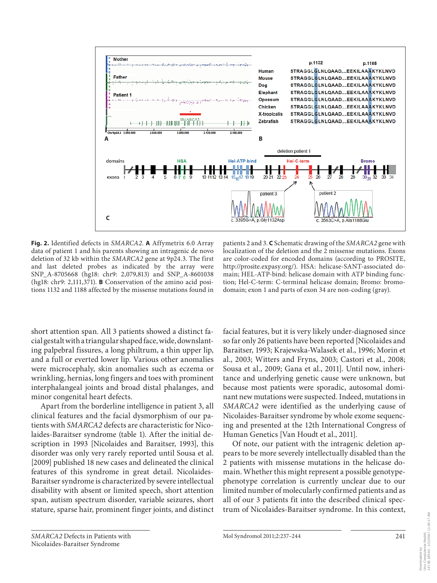

**Fig. 2.** Identified defects in *SMARCA2* . **A** Affymetrix 6.0 Array data of patient 1 and his parents showing an intragenic de novo deletion of 32 kb within the *SMARCA2* gene at 9p24.3. The first and last deleted probes as indicated by the array were SNP\_A-8705668 (hg18: chr9: 2,079,813) and SNP\_A-8601038 (hg18: chr9: 2,111,371). **B** Conservation of the amino acid positions 1132 and 1188 affected by the missense mutations found in

patients 2 and 3. **C** Schematic drawing of the *SMARCA2* gene with localization of the deletion and the 2 missense mutations. Exons are color-coded for encoded domains (according to PROSITE, http://prosite.expasy.org/). HSA: helicase-SANT-associated domain; HEL-ATP-bind: helicase domain with ATP binding function; Hel-C-term: C-terminal helicase domain; Bromo: bromodomain; exon 1 and parts of exon 34 are non-coding (gray).

short attention span. All 3 patients showed a distinct facial gestalt with a triangular shaped face, wide, downslanting palpebral fissures, a long philtrum, a thin upper lip, and a full or everted lower lip. Various other anomalies were microcephaly, skin anomalies such as eczema or wrinkling, hernias, long fingers and toes with prominent interphalangeal joints and broad distal phalanges, and minor congenital heart defects.

 Apart from the borderline intelligence in patient 3, all clinical features and the facial dysmorphism of our patients with *SMARCA2* defects are characteristic for Nicolaides-Baraitser syndrome (table 1). After the initial description in 1993 [Nicolaides and Baraitser, 1993], this disorder was only very rarely reported until Sousa et al. [2009] published 18 new cases and delineated the clinical features of this syndrome in great detail. Nicolaides-Baraitser syndrome is characterized by severe intellectual disability with absent or limited speech, short attention span, autism spectrum disorder, variable seizures, short stature, sparse hair, prominent finger joints, and distinct

facial features, but it is very likely under-diagnosed since so far only 26 patients have been reported [Nicolaides and Baraitser, 1993; Krajewska-Walasek et al., 1996; Morin et al., 2003; Witters and Fryns, 2003; Castori et al., 2008; Sousa et al., 2009; Gana et al., 2011]. Until now, inheritance and underlying genetic cause were unknown, but because most patients were sporadic, autosomal dominant new mutations were suspected. Indeed, mutations in *SMARCA2* were identified as the underlying cause of Nicolaides-Baraitser syndrome by whole exome sequencing and presented at the 12th International Congress of Human Genetics [Van Houdt et al., 2011].

 Of note, our patient with the intragenic deletion appears to be more severely intellectually disabled than the 2 patients with missense mutations in the helicase domain. Whether this might represent a possible genotypephenotype correlation is currently unclear due to our limited number of molecularly confirmed patients and as all of our 3 patients fit into the described clinical spectrum of Nicolaides-Baraitser syndrome. In this context,

Downloaded by: Univ.Complutense Madrid 147.96.189.64 - 1/12/2017 11:36:17 AM

Downloaded by:<br>Univ.Complutense Madrid<br>147.96.189.64 - 1/12/2017 11:36:17 AM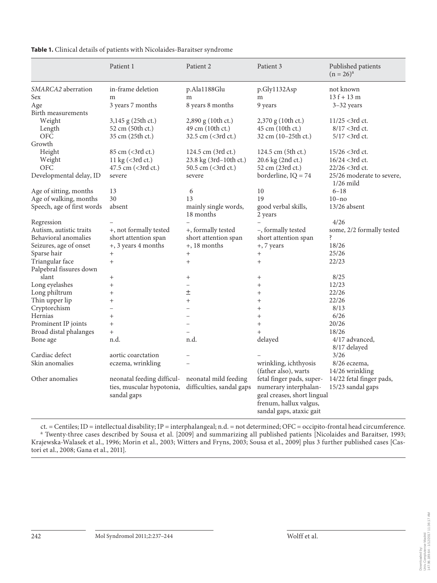|                            | Patient 1                        | Patient 2                 | Patient 3                   | Published patients<br>$(n = 26)^{a}$ |
|----------------------------|----------------------------------|---------------------------|-----------------------------|--------------------------------------|
| SMARCA2 aberration         | in-frame deletion                | p.Ala1188Glu              | p.Gly1132Asp                | not known                            |
| Sex                        | m                                | m                         | m                           | $13f + 13m$                          |
| Age                        | 3 years 7 months                 | 8 years 8 months          | 9 years                     | $3-32$ years                         |
| Birth measurements         |                                  |                           |                             |                                      |
| Weight                     | 3,145 g (25th ct.)               | 2,890 g (10th ct.)        | $2,370$ g (10th ct.)        | $11/25 < 3rd$ ct.                    |
| Length                     | 52 cm (50th ct.)                 | 49 cm (10th ct.)          | 45 cm (10th ct.)            | $8/17$ < 3rd ct.                     |
| <b>OFC</b>                 | 35 cm (25th ct.)                 | 32.5 cm (<3rd ct.)        | 32 cm (10-25th ct.)         | $5/17 < 3$ rd ct.                    |
| Growth                     |                                  |                           |                             |                                      |
| Height                     | 85 cm (<3rd ct.)                 | 124.5 cm (3rd ct.)        | 124.5 cm (5th ct.)          | $15/26 < 3rd$ ct.                    |
| Weight                     | 11 kg (<3rd ct.)                 | 23.8 kg (3rd-10th ct.)    | 20.6 kg (2nd ct.)           | $16/24 < 3rd$ ct.                    |
| <b>OFC</b>                 | 47.5 cm (<3rd ct.)               | 50.5 cm (<3rd ct.)        | 52 cm (23rd ct.)            | 22/26 <3rd ct.                       |
| Developmental delay, ID    | severe                           | severe                    | borderline, $IQ = 74$       | 25/26 moderate to severe,            |
|                            |                                  |                           |                             | $1/26$ mild                          |
| Age of sitting, months     | 13                               | 6                         | 10                          | $6 - 18$                             |
| Age of walking, months     | 30                               | 13                        | 19                          | $10 - no$                            |
| Speech, age of first words | absent                           | mainly single words,      | good verbal skills,         | 13/26 absent                         |
|                            |                                  | 18 months                 | 2 years                     |                                      |
| Regression                 |                                  |                           |                             | 4/26                                 |
| Autism, autistic traits    | +, not formally tested           | +, formally tested        | -, formally tested          | some, 2/2 formally tested            |
| Behavioral anomalies       | short attention span             | short attention span      | short attention span        | ś.                                   |
| Seizures, age of onset     | +, 3 years 4 months              | +, 18 months              | +, 7 years                  | 18/26                                |
| Sparse hair                | $^{+}$                           | $^{+}$                    | $^{+}$                      | 25/26                                |
| Triangular face            | $^{+}$                           | $^{+}$                    | $^{+}$                      | 22/23                                |
| Palpebral fissures down    |                                  |                           |                             |                                      |
| slant                      | $\begin{array}{c} + \end{array}$ | $^{+}$                    | $^{+}$                      | 8/25                                 |
| Long eyelashes             | $^{+}$                           | $\overline{\phantom{0}}$  | $^{+}$                      | 12/23                                |
| Long philtrum              | $^{+}$                           | 土                         | $^{+}$                      | 22/26                                |
| Thin upper lip             | $^{+}$                           | $\ddot{}$                 | $^{+}$                      | 22/26                                |
| Cryptorchism               | $\overline{\phantom{0}}$         |                           | $^{+}$                      | 8/13                                 |
| Hernias                    | $^{+}$                           |                           | $^{+}$                      | 6/26                                 |
| Prominent IP joints        | $^{+}$                           |                           | $^{+}$                      | 20/26                                |
| Broad distal phalanges     | $^{+}$                           |                           | $+$                         | 18/26                                |
| Bone age                   | n.d.                             | n.d.                      | delayed                     | 4/17 advanced,                       |
|                            |                                  |                           |                             | 8/17 delayed                         |
| Cardiac defect             | aortic coarctation               |                           |                             | 3/26                                 |
| Skin anomalies             | eczema, wrinkling                |                           | wrinkling, ichthyosis       | 8/26 eczema,                         |
|                            |                                  |                           | (father also), warts        | 14/26 wrinkling                      |
| Other anomalies            | neonatal feeding difficul-       | neonatal mild feeding     | fetal finger pads, super-   | 14/22 fetal finger pads,             |
|                            | ties, muscular hypotonia,        | difficulties, sandal gaps | numerary interphalan-       | 15/23 sandal gaps                    |
|                            | sandal gaps                      |                           | geal creases, short lingual |                                      |
|                            |                                  |                           | frenum, hallux valgus,      |                                      |
|                            |                                  |                           | sandal gaps, ataxic gait    |                                      |

**Table 1.** Clinical details of patients with Nicolaides-Baraitser syndrome

ct. = Centiles; ID = intellectual disability; IP = interphalangeal; n.d. = not determined; OFC = occipito-frontal head circumference.<br>ª Twenty-three cases described by Sousa et al. [2009] and summarizing all published pati Krajewska-Walasek et al., 1996; Morin et al., 2003; Witters and Fryns, 2003; Sousa et al., 2009] plus 3 further published cases [Castori et al., 2008; Gana et al., 2011].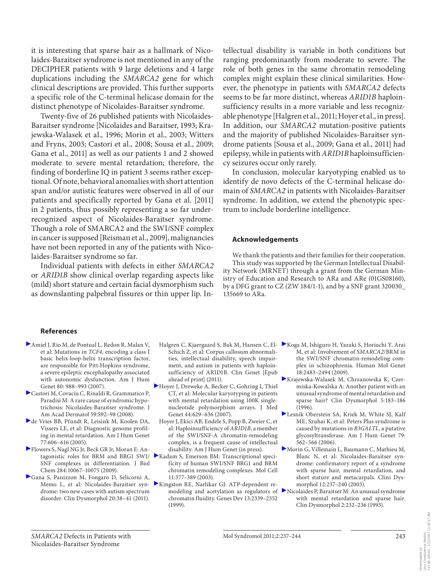it is interesting that sparse hair as a hallmark of Nicolaides-Baraitser syndrome is not mentioned in any of the DECIPHER patients with 9 large deletions and 4 large duplications including the *SMARCA2* gene for which clinical descriptions are provided. This further supports a specific role of the C-terminal helicase domain for the distinct phenotype of Nicolaides-Baraitser syndrome.

 Twenty-five of 26 published patients with Nicolaides-Baraitser syndrome [Nicolaides and Baraitser, 1993; Krajewska-Walasek et al., 1996; Morin et al., 2003; Witters and Fryns, 2003; Castori et al., 2008; Sousa et al., 2009; Gana et al., 2011] as well as our patients 1 and 2 showed moderate to severe mental retardation; therefore, the finding of borderline IQ in patient 3 seems rather exceptional. Of note, behavioral anomalies with short attention span and/or autistic features were observed in all of our patients and specifically reported by Gana et al. [2011] in 2 patients, thus possibly representing a so far underrecognized aspect of Nicolaides-Baraitser syndrome. Though a role of SMARCA2 and the SWI/SNF complex in cancer is supposed [Reisman et al., 2009], malignancies have not been reported in any of the patients with Nicolaides-Baraitser syndrome so far.

 Individual patients with defects in either *SMARCA2* or *ARID1B* show clinical overlap regarding aspects like (mild) short stature and certain facial dysmorphism such as downslanting palpebral fissures or thin upper lip. Intellectual disability is variable in both conditions but ranging predominantly from moderate to severe. The role of both genes in the same chromatin remodeling complex might explain these clinical similarities. However, the phenotype in patients with *SMARCA2* defects seems to be far more distinct, whereas *ARID1B* haploinsufficiency results in a more variable and less recognizable phenotype [Halgren et al., 2011; Hoyer et al., in press]. In addition, our *SMARCA2* mutation-positive patients and the majority of published Nicolaides-Baraitser syndrome patients [Sousa et al., 2009; Gana et al., 2011] had epilepsy, while in patients with *ARID1B* haploinsufficiency seizures occur only rarely.

 In conclusion, molecular karyotyping enabled us to identify de novo defects of the C-terminal helicase domain of *SMARCA2* in patients with Nicolaides-Baraitser syndrome. In addition, we extend the phenotypic spectrum to include borderline intelligence.

## **Acknowledgements**

 We thank the patients and their families for their cooperation. This study was supported by the German Intellectual Disability Network (MRNET) through a grant from the German Ministry of Education and Research to ARa and ARe (01GS08160), by a DFG grant to CZ (ZW 184/1-1), and by a SNF grant 320030\_ 135669 to ARa.

### **References**

- Amiel J, Rio M, de Pontual L, Redon R, Malan V, et al: Mutations in *TCF4* , encoding a class I basic helix-loop-helix transcription factor, are responsible for Pitt-Hopkins syndrome, a severe epileptic encephalopathy associated with autonomic dysfunction. Am J Hum Genet 80: 988–993 (2007).
- Castori M, Covaciu C, Rinaldi R, Grammatico P, Paradisi M: A rare cause of syndromic hypotrichosis: Nicolaides-Baraitser syndrome. J Am Acad Dermatol 59:S92–98 (2008).
- de Vries BB, Pfundt R, Leisink M, Koolen DA, Vissers LE, et al: Diagnostic genome profiling in mental retardation. Am J Hum Genet 77:606–616 (2005).
- Flowers S, Nagl NG Jr, Beck GR Jr, Moran E: Antagonistic roles for BRM and BRG1 SWI/ SNF complexes in differentiation. J Biol Chem 284:10067–10075 (2009).
- Gana S, Panizzon M, Fongaro D, Selicorni A, drome: two new cases with autism spectrum disorder. Clin Dysmorphol 20:38–41 (2011).
- Halgren C, Kjaergaard S, Bak M, Hansen C, El-Schich Z, et al: Corpus callosum abnormalities, intellectual disability, speech impairment, and autism in patients with haploinsufficiency of ARID1B. Clin Genet [Epub ahead of print] (2011).
- Hoyer J, Dreweke A, Becker C, Gohring I, Thiel CT, et al: Molecular karyotyping in patients with mental retardation using 100K singlenucleotide polymorphism arrays. J Med Genet 44:629–636 (2007).
- Hoyer J, Ekici AB, Endele S, Popp B, Zweier C, et al: Haploinsufficiency of *ARID1B* , a member of the SWI/SNF-A chromatin-remodeling complex, is a frequent cause of intellectual disability. Am J Hum Genet (in press).
- Kadam S, Emerson BM: Transcriptional specificity of human SWI/SNF BRG1 and BRM chromatin remodeling complexes. Mol Cell 11:377–389 (2003).
- Memo L, et al: Nicolaides-Baraitser syn- Kingston RE, Narlikar GJ: ATP-dependent rechromatin fluidity. Genes Dev 13:2339–2352 (1999).
- Koga M, Ishiguro H, Yazaki S, Horiuchi Y, Arai M, et al: Involvement of *SMARCA2* /BRM in the SWI/SNF chromatin-remodeling complex in schizophrenia. Human Mol Genet 18:2483–2494 (2009).
- Krajewska-Walasek M, Chrzanowska K, Czermiska-Kowalska A: Another patient with an unusual syndrome of mental retardation and sparse hair? Clin Dysmorphol 5:183–186 (1996).
- Lesnik Oberstein SA, Kriek M, White SJ, Kalf ME, Szuhai K, et al: Peters Plus syndrome is caused by mutations in *B3GALTL* , a putative glycosyltransferase. Am J Hum Genet 79: 562–566 (2006).
- Morin G, Villemain L, Baumann C, Mathieu M, Blanc N, et al: Nicolaides-Baraitser syndrome: confirmatory report of a syndrome with sparse hair, mental retardation, and short stature and metacarpals. Clini Dysmorphol 12:237–240 (2003).
- modeling and acetylation as regulators of Nicolaides P, Baraitser M: An unusual syndrome with mental retardation and sparse hair. Clin Dysmorphol 2:232–236 (1993).